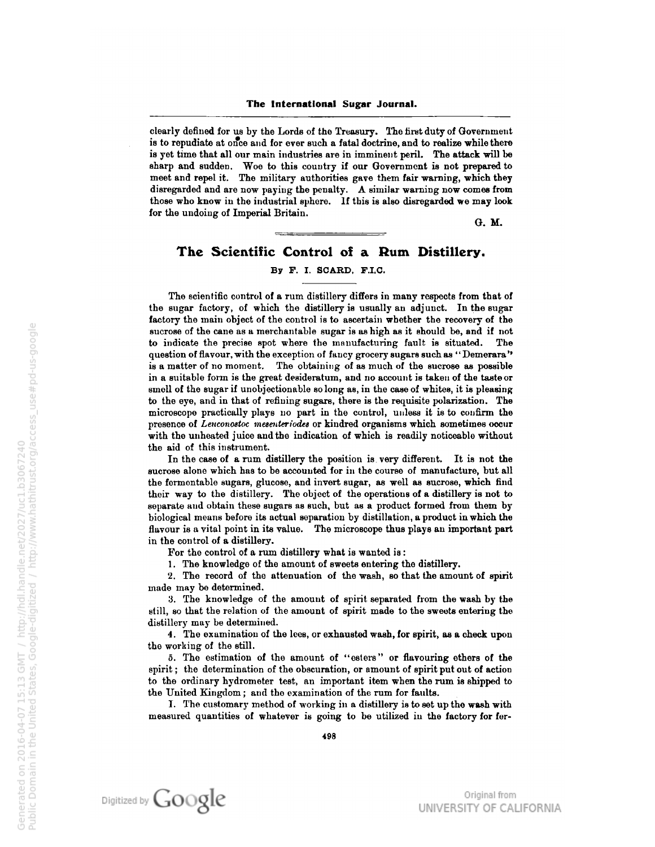clearly defined for us by the Lords of the Treasury. The first duty of Government is to repudiate at once and for ever such a fatal doctrine, and to realize while there is yet time that all our main industries are in imminent peril. The attack will be sharp and sudden. Woe to this country if our Government is not prepared to meet and repel it. The military authorities gave them fair warning, which they disregarded and are now paying the penalty. A similar warning now comes from those who know in the industrial sphere. If this is also disregarded we may look for the undoing of Imperial Britain.

G. M.

## The Scientific Control of a Rum Distillery.

## By F. I. SCARD. F.I.C.

The scientific control of a rum distillery differs in many respects from that of the sugar factory, of which the distillery is usually an adjunct. In the sugar factory the main object of the control is to ascertain whether the recovery of the sucrose of the cane as <sup>a</sup> merchantable sugar is as high as it should be, and if not to indicate the precise spot where the manufacturing fault is situated. The question of flavour, with the exception of fancy grocery sugars such as "Demerara" is a matter of no moment. The obtaining of as much of the sucrose as possible in a suitable form is the great desideratum, and no account is taken of the taste or smoll of the sugar if unobjectionable so long as, in the case of whites, it is pleasing to the eye, and in that of refining sugars, there is the requisite polarization. The microscope practically plays uo part in the control, unless it is to confirm the presence of Lenconostoc mesenteriodes or kindred organisms which sometimes occur with the unheated juice and the indication of which is readily noticeable without the aid of this instrument.

In the case of a rum distillery the position is very different. It is not the sucrose alone which has to be accounted for in the course of manufacture, but all the formontable sugars, glucose, and invert sugar, as well as sucrose, which find their way to the distillery. The object of the operations of a distillery is not to separate and obtain these sugars as such, but as <sup>a</sup> product formed from them by biological means before its actual separation by distillation, <sup>a</sup> product in which the flavour is a vital point in its value. The microscope thus plays an important part in the control of a distillery.

For the control of a rum distillery what is wanted is :

1 . The knowledge of the amount of sweets entering the distillery.

2. The record of the attenuation of the wash, so that the amount of spirit made may be determined.

3. The knowledge of the amount of spirit separated from the wash by tie still, so that the relation of the amount of spirit made to the sweets entering the distillery may be determined.

4. The examination of the Ices, or exhausted wash, for spirit, as a check upon the working of the still.

5. The estimation of the amount of "esters" or flavouring ethers of the spirit ; the determination of the obscuration, or amount of spirit put out of action to the ordinary hydrometer test, an important item when the rum is shipped to the United Kingdom ; and tho examination of the rum for faults.

I. The customary method of working in <sup>a</sup> distillery is to set up the wash with measured quantities of whatever is going to be utilized in the factory for fer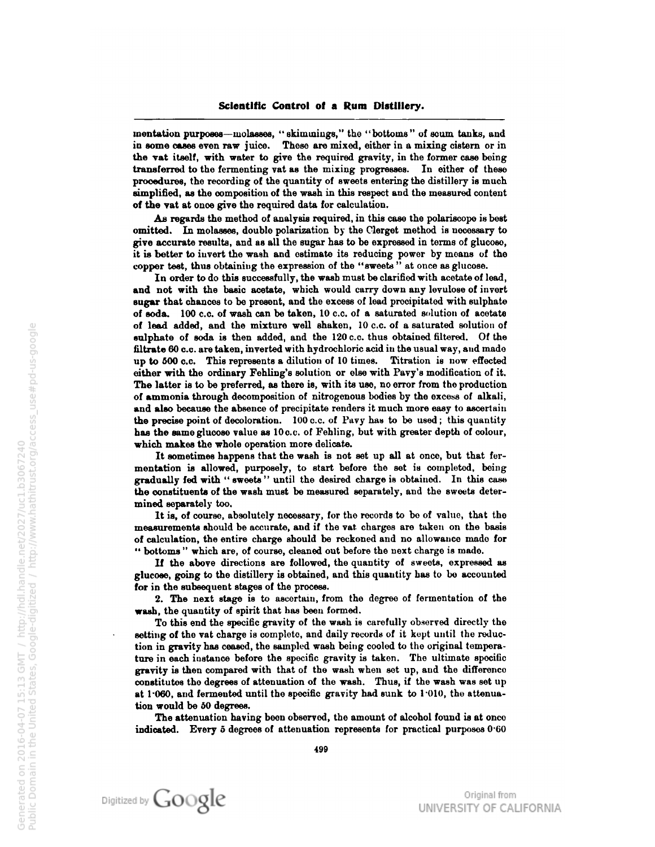mentation purposes—molasses, "skimmings," the "bottoms" of scum tanks, and iu some cases even raw juice. These are mixed, either in <sup>a</sup> mixing cistern or in the vat itself, with water to give the required gravity, in the former case being transferred to the fermenting vat as the mixing progresses. In either of these procedures, the recording of the quantity of sweets entering the distillery is much simplified, as the composition of the wash in this respect and the measured content of the vat at once give the required data for calculation.

As regards the method of analysis required, in this case the polariscopo is bost omitted. In molasses, doublo polarization by the Clergot method is uocossary to give accurate results, and as all the sugar has to be expressed in terms of glucoso, it is better to invert the wash and estimate its reducing power by moans of tho copper test, thus obtaining the expression of the "sweets" at once as glucose.

In order to do this successfully, the wash must be clarified with acetate of load, and not with the basic acetate, which would curry down any lovulose of invort sugar that chances to be present, and the excess of lead precipitated with sulphate of soda. <sup>100</sup> c.c. of wash can be taken, <sup>10</sup> c.c. of a saturated solution of acetate of lead added, and the mixture well shaken, 10 c.c. of a saturated solution of sulphate of soda is then added, and tho <sup>120</sup> c.c. thus obtained filtered. Of the filtrate 60 c.c. are taken, inverted with hydrochloric acid in the usual way, and made up to 500 c.c. This represents a dilution of <sup>10</sup> times. Titration is now effected either with the ordinary Fohling's solution or else with Pavy's modification of it. The latter is to be preferred, as there is, with its use, no error from the production of ammonia through decomposition of nitrogenous bodies by the excess of alkali, and also because the absence of precipitate renders it much more easy to ascertain the precise point of decoloration.  $100$  c.c. of Pavy has to be used; this quantity has the same glucose value as <sup>10</sup> c.c. of Fehling, but with greater depth of colour, which makes the whole operation more delicate.

It sometimes happens that the wash is not sot up all at once, but that fer mentation is allowed, purposely, to start before the set is completed, being gradually fed with "sweets" until the desired chargo is obtained. In this case tho constituents of the wash must be measured separately, and tho sweets deter mined separately too.

It is, of course, absolutely necessary, for the records to be of value, that the measurements should be accurato, and if the vat charges aro taken on the basis of calculation, the entire charge should be reckoned and no allowance mado for " bottoms " which are, of course, cleaned out before the next charge is mado.

If the above directions are followed, the quantity of sweots, expressed as glucose, going to the distillery is obtained, and this quantity has to bo accounted for in the subsequent stages of the process.

2. The next stage is to ascortain, from the degroo of fermentation of the wash, the quantity of spirit that has been formed.

To this end the specific gravity of the wash is carefully observed directly tho setting of tho vat charge is complete, and daily records of it kept until the reduc tion in gravity has ceased, the sampled wash being cooled to the original temperature in each instance before the specific gravity is taken. Tho ultimate specific gravity is then compared with that of tho wash when sot up, aud tho difference constitutes tho degrees of attenuation of the wash. Thus, if tho wash was set up at 1.060, and fermented until the specific gravity had sunk to 1.010, the attenuation would be 50 degrees.

The attenuation having been observed, the amount of alcohol found is at onco indicated. Every <sup>5</sup> degrees of attenuation represents for practical purposes 0'60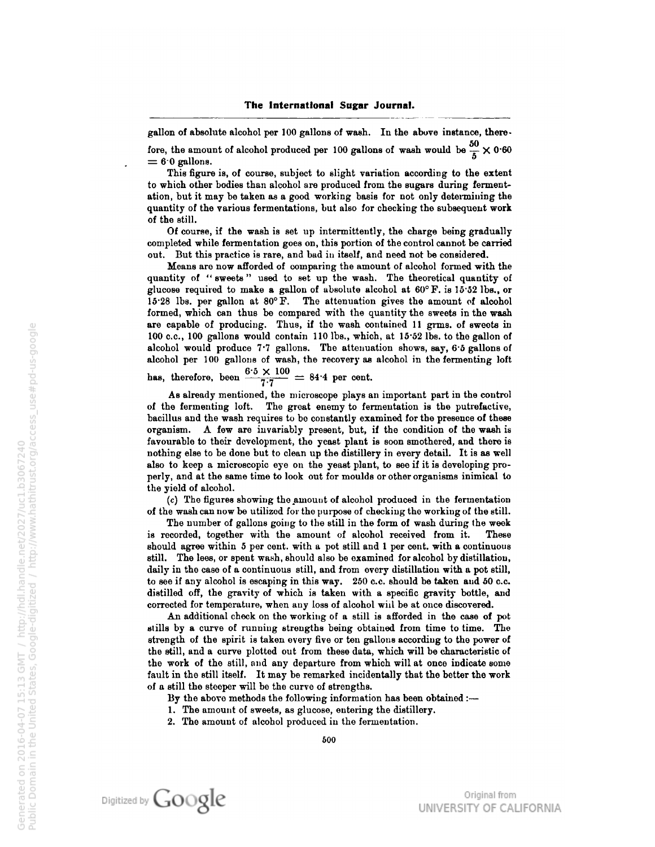gallon of absolute alcohol per <sup>100</sup> gallons of wash. In the above instance, there fore, the amount of alcohol produced per 100 gallons of wash would be  $\frac{50}{5} \times 0.60$  $= 6.0$  gallons.

This figure is, of course, subject to slight variation according to the extent to which other bodies than alcohol are produced from the sugars during ferment ation, but it may be taken as a good working basis for not only determining the quantity of the various fermentations, but also for checking the subsequent work of the still.

Of course, if the wash is set up intermittently, the charge being gradually completed while fermentation goes on, this portion of the control cannot be carried out. But this practice is rare, and bad in itself, and need not be considered.

Means are now afforded of comparing the amount of alcohol formed with the quantity of " sweets" used to set up the wash. The theoretical quantity of glucose required to make a gallon of absolute alcohol at 60° F. is 15'52 lbs., or 15'28 lbs. per gallon at 80° F. The attenuation gives the amount of alcohol formed, which can thus be compared with the quantity the sweets in the wash are capable of producing. Thus, if the wash contained <sup>11</sup> grms. of sweets in <sup>100</sup> c.c, <sup>100</sup> gallons would contain <sup>110</sup> lbs., which, at 15-52 lbs. to the gallon of alcohol would produce 7-7 gallons. The attenuation shows, say, 6 5 gallons of alcohol per <sup>100</sup> gallons of wash, the recovery as alcohol in the fermenting loft

has, therefore, been  $\frac{6.5 \times 100}{7.7} = 84.4$  per cent.

As already mentioned, the microscope plays an important part in the control of the fermenting loft. The great enemy to fermentation is the putrefactive, bacillus and the wash requires to be constantly examined for the presence of these organism. A few are invariably present, but, if the condition of the wash is favourable to their development, the yeast plant is soon smothered, and there is nothing else to be done but to clean up the distillery in every detail. It is as well also to keep a microscopic eye on the yeast plant, to see if it is developing pro perly, and at the same time to look out for moulds or other organisms inimical to the yield of alcohol.

 $(c)$  The figures showing the amount of alcohol produced in the fermentation of the wash can now be utilized for tho purpose of checking the working of the still.

The number of gallons going to the still in the form of wash during the week is recorded, together with the amount of alcohol received from it. These should agree within <sup>5</sup> per cent, with a pot still and <sup>1</sup> per cent, with a continuous still. The lees, or spent wash, should also be examined for alcohol by distillation, daily in the case of <sup>a</sup> continuous still, and from overy distillation with <sup>a</sup> pot still, to see if any alcohol is escaping in this way. 250 c.c. should be taken and 50 c.c. distilled off, the gravity of which is taken with a specific gravity bottle, and corrected for temperature, when any loss of alcohol will be at once discovered.

An additional check on the working of <sup>a</sup> still is afforded in the case of pot stills by <sup>a</sup> curve of running strengths being obtained from time to time. The strength of the spirit is taken every five or ten gallons according to the power of the still, and <sup>a</sup> curve plotted out from these data, which will be characteristic of the work of the still, and any departure from which will at once indicate some fault in the still itself. It may be remarked incidentally that the better the work of <sup>a</sup> still the steeper will be the curve of strengths.

By the above methods the following information has been obtained :-

- 1. The amount of sweets, as glucose, entering the distillery.
- 2. The amount of alcohol produced in the fermentation.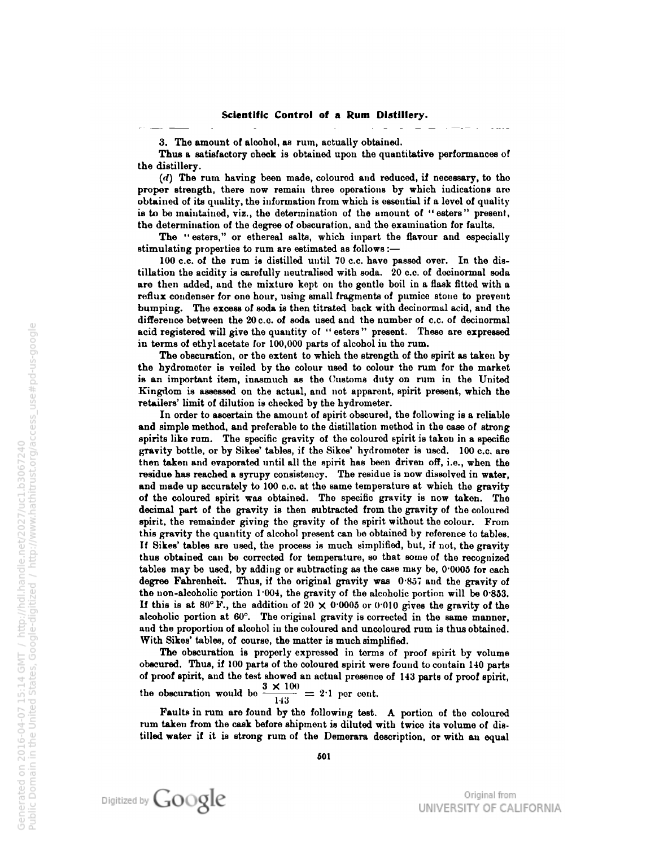3. The amount of alcohol, as rum, actually obtained.

Thus a satisfactory check is obtained upon the quantitative performances of the distillery.

 $(d)$  The rum having been made, coloured and reduced, if necessary, to tho proper strength, there now remain three operations by which indications are obtained of its quality, the information from which is essential if a level of quality is to be maintained, viz., the determination of the amount of "esters" present, tho determination of the degree of obscuration, and tho examination for faults.

The "esters," or ethereal salts, which impart the flavour and especially stimulating properties to rum are estimated as follows :—

100 c.c. of the rum is distilled until <sup>70</sup> c.c. have passed over. In the dis tillation the acidity is carefully neutralised with soda. 20 c.c. of decinormal soda are then added, and the mixture kept on the gentle boil in a flask fitted with <sup>a</sup> reflux condenser for one hour, using small fragments of pumice stone to prevent bumping. The excess of soda is then titrated back with decinormal acid, and the difference between the 20 c.c. of soda used and the number of c.c. of decinormal acid registered will give the quantity of "esters" present. These are expressed in terms of ethyl acetate for 100,000 parts of alcohol in the rum.

The obscuration, or the extent to which the strength of the spirit as taken by the hydrometer is veiled by the colour used to colour the rum for the market is an important item, inasmuch as the Customs duty on rum in the United Kingdom is assessed on the actual, and not apparent, spirit present, which the retailers' limit of dilution is checked by the hydrometer.

In order to ascertain the amount of spirit obscured, the following is a reliable and simple method, and preferable to the distillation method in the case of strong spirits like rum. The specific gravity of the coloured spirit is taken in a specific gravity bottle, or by Sikes' tables, if the Sikes' hydrometer is used. <sup>100</sup> c.c. are then taken and evaporated until all the spirit has been driven off, i.e., when the residue has reached a syrupy consistency. The residue is now dissolved in water, and made up accurately to <sup>100</sup> c.c. at the same temperature at which the gravity of the coloured spirit was obtained. The specific gravity is now taken. The decimal part of the gravity is then subtracted from the gravity of the coloured spirit, the remainder giving tho gravity of the spirit without the colour. From this gravity the quantity of alcohol present can be obtained by reference to tables. If Sikes' tables are used, the process is much simplified, but, if not, the gravity thus obtained can be corrected for temperature, so that some of tho recognized tables may be used, by adding or subtracting as the case may be, 0-0005 for each degree Fahrenheit. Thus, if the original gravity was 0-857 and the gravity of the non-alcoholic portion 1-004, the gravity of the alcoholic portion will be 0-853. If this is at 80° F., the addition of 20  $\times$  0.0005 or 0.010 gives the gravity of the alcoholic portion at 60°. The original gravity is corrected in the same mannor, and the proportion of alcohol in the coloured and uncoloured rum is thus obtained. With Sikes' tables, of course, the matter is much simplified.

The obscuration is properly expressed in terms of proof spirit by volume obscured. Thus, if <sup>100</sup> parts of the coloured spirit were found to contain <sup>140</sup> parts of proof spirit, and tho test showed an actual presence of <sup>143</sup> parts of proof spirit, the obscuration would be  $\frac{3 \times 100}{143} = 2.1$  por cont.

Faults in rum are found by the following test. A portion of tho coloured rum taken from the cask before shipment is diluted with twice its volume of dis tilled water if it is strong rum of the Demorara description, or with an equal